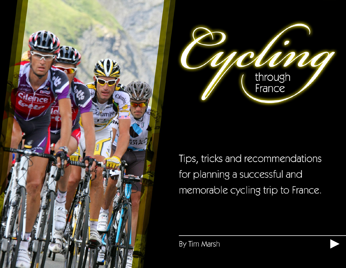



Tips, tricks and recommendations for planning a successful and memorable cycling trip to France.

By Tim Marsh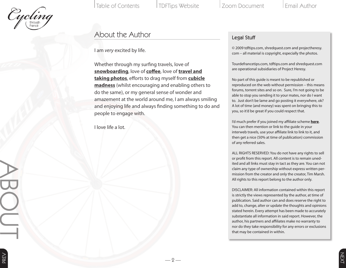

**ABOTT** 

Table of Contents TDFTips Website 1 Zoom Document 1 Email Author

#### About the Author

I am *very* excited by life.

Whether through my surfing travels, love of **[snowboarding](http://www.heresysnowboarding.com)**, love of **[coffee](http://www.wherespresso.com)**, love of **[travel and](http://wwww.shredquest.com) [taking photos](http://wwww.shredquest.com)**, efforts to drag myself from **[cubicle](http://www.projectheresy.com) [madness](http://www.projectheresy.com)** (whilst encouraging and enabling others to do the same), or my general sense of wonder and amazement at the world around me, I am always smiling and enjoying life and always finding something to do and people to engage with.

 $-2-$ 

 $-2-$ 

I love life a lot.

#### Legal Stuff

© 2009 tdftips.com, shredquest.com and projectheresy. com – all material is copyright, especially the photos.

Tourdefrancetips.com, tdftips.com and shredquest.com are operational subsidiaries of Project Heresy.

No part of this guide is meant to be republished or reproduced on the web without permission – this means forums, torrent sites and so on. Sure, I'm not going to be able to stop you sending it to your mates, nor do I want to. Just don't be lame and go posting it everywhere, ok? A lot of time (and money) was spent on bringing this to you, so it'd be great if you could respect that.

I'd much prefer if you joined my affiliate scheme **[here](https://www.e-junkie.com/affiliates/?cl=63508&ev=7e244683b5)**. You can then mention or link to the guide in your interweb travels, use your affiliate link to link to it, and then get a nice (50% at time of publication) commission of any referred sales.

ALL RIGHTS RESERVED: You do not have any rights to sell or profit from this report. All content is to remain uned ited and all links must stay in tact as they are. You can not claim any type of ownership without express written per mission from the creator and only the creator, Tim Marsh. All rights to this report belong to the author only.

DISCLAIMER: All information contained within this report is strictly the views represented by the author, at time of publication. Said author can and does reserve the right to add to, change, alter or update the thoughts and opinions stated herein. Every attempt has been made to accurately substantiate all information in said report. However, the author, his partners and affiliates make no warranty to nor do they take responsibility for any errors or exclusions that may be contained in within.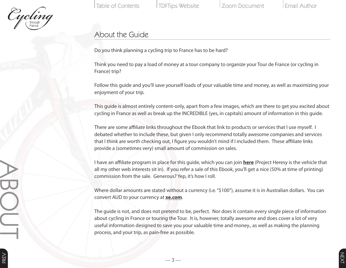

**ABOTT** 

Table of Contents TDFTips Website 1 Zoom Document 1 Email Author

# About the Guide

Do you think planning a cycling trip to France has to be hard?

Think you need to pay a load of money at a tour company to organize your Tour de France (or cycling in France) trip?

Follow this guide and you'll save yourself loads of your valuable time and money, as well as maximizing your enjoyment of your trip.

This guide is almost entirely content-only, apart from a few images, which are there to get you excited about cycling in France as well as break up the INCREDIBLE (yes, in capitals) amount of information in this guide.

There are some affiliate links throughout the Ebook that link to products or services that I use myself. I debated whether to include these, but given I only recommend totally awesome companies and services that I think are worth checking out, I figure you wouldn't mind if I included them. These affiliate links provide a (sometimes very) small amount of commission on sales.

I have an affiliate program in place for this guide, which you can join **[here](https://www.e-junkie.com/affiliates/?cl=63508&ev=7e244683b5)** (Project Heresy is the vehicle that all my other web interests sit in). If you refer a sale of this Ebook, you'll get a nice (50% at time of printing) commission from the sale. Generous? Yep, it's how I roll.

Where dollar amounts are stated without a currency (i.e. "\$100"), assume it is in Australian dollars. You can convert AUD to your currency at **[xe.com](http://www.xe.com)**.

The guide is not, and does not pretend to be, perfect. Nor does it contain every single piece of information about cycling in France or touring the Tour. It is, however, totally awesome and does cover a lot of very useful information designed to save you your valuable time and money., as well as making the planning process, and your trip, as pain-free as possible.

— 3 —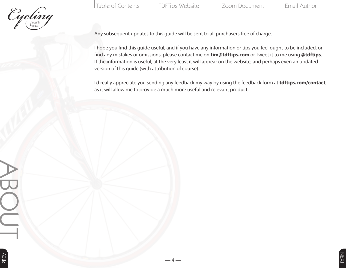

Table of Contents TDFTips Website 200m Document | Email Author

Any subsequent updates to this guide will be sent to all purchasers free of charge.

I hope you find this guide useful, and if you have any information or tips you feel ought to be included, or find any mistakes or omissions, please contact me on **[tim@tdftips.com](mailto:tim@tdftips.com)** or Tweet it to me using **[@tdftips](http://www.twitter.com/tdftips)**. If the information is useful, at the very least it will appear on the website, and perhaps even an updated version of this guide (with attribution of course).

I'd really appreciate you sending any feedback my way by using the feedback form at **[tdftips.com/contact](http://www.tdftips.com/contact)**, as it will allow me to provide a much more useful and relevant product.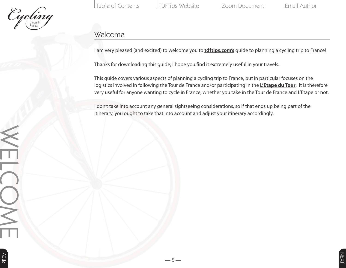

Table of Contents TDFTips Website 1 Zoom Document 1 Email Author

## Welcome

I am very pleased (and excited) to welcome you to **[tdftips.com's](http://www.tdftips.com)** guide to planning a cycling trip to France!

Thanks for downloading this guide; I hope you find it extremely useful in your travels.

This guide covers various aspects of planning a cycling trip to France, but in particular focuses on the logistics involved in following the Tour de France and/or participating in the **[L'Etape du Tour](http://www.letapedutour.com)**. It is therefore very useful for anyone wanting to cycle in France, whether you take in the Tour de France and L'Etape or not.

I don't take into account any general sightseeing considerations, so if that ends up being part of the itinerary, you ought to take that into account and adjust your itinerary accordingly.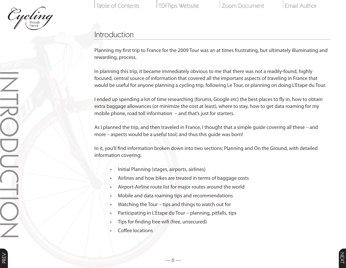

# Introduction

Planning my first trip to France for the 2009 Tour was an at times frustrating, but ultimately illuminating and rewarding, process.

In planning this trip, it became immediately obvious to me that there was not a readily-found, highly focused, central source of information that covered all the important aspects of traveling in France that would be useful for anyone planning a cycling trip, following Le Tour, or planning on doing L'Etape du Tour.

I ended up spending a lot of time researching (forums, Google etc) the best places to fly in, how to obtain extra baggage allowances (or minimize the cost at least), where to stay, how to get data roaming for my mobile phone, road toll information – and that's just for starters.

As I planned the trip, and then traveled in France, I thought that a simple guide covering all these – and more – aspects would be a useful tool; and thus this guide was born!

In it, you'll find information broken down into two sections; Planning and On the Ground, with detailed information covering:

- Initial Planning (stages, airports, airlines)
- Airlines and how bikes are treated in terms of baggage costs
- Airport-Airline route list for major routes around the world
- Mobile and data roaming tips and recommendations
- Watching the Tour tips and things to watch out for
- Participating in L'Etape du Tour planning, pitfalls, tips

— 6 —

- Tips for finding free wifi (free, unsecured)
- Coffee locations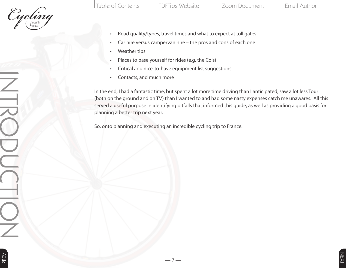

- Road quality/types, travel times and what to expect at toll gates
- Car hire versus campervan hire the pros and cons of each one
	- Weather tips
	- Places to base yourself for rides (e.g. the Cols)
	- Critical and nice-to-have equipment list suggestions
	- Contacts, and much more

In the end, I had a fantastic time, but spent a lot more time driving than I anticipated, saw a lot less Tour (both on the ground and on TV) than I wanted to and had some nasty expenses catch me unawares. All this served a useful purpose in identifying pitfalls that informed this guide, as well as providing a good basis for planning a better trip next year.

So, onto planning and executing an incredible cycling trip to France.

— 7 —

 $-7-$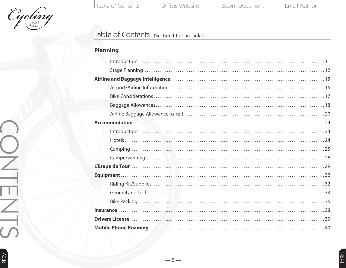

Table of Contents TDFTips Website Zoom Document Email Author

 $-8$  —

### Table of Contents (Section titles are links)

# **[Planning](#page--1-0)**

|  | $Introduction \dots 11$ |  |
|--|-------------------------|--|
|  |                         |  |
|  |                         |  |
|  |                         |  |
|  |                         |  |
|  |                         |  |
|  |                         |  |
|  |                         |  |
|  | $Introduction \dots 24$ |  |
|  |                         |  |
|  |                         |  |
|  |                         |  |
|  |                         |  |
|  |                         |  |
|  |                         |  |
|  |                         |  |
|  |                         |  |
|  |                         |  |
|  |                         |  |
|  |                         |  |
|  |                         |  |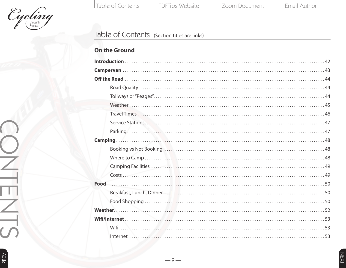

Table of Contents TDFTips Website Zoom Document Email Author

### Table of Contents (Section titles are links)

|  | <b>On the Ground</b> |
|--|----------------------|
|  |                      |